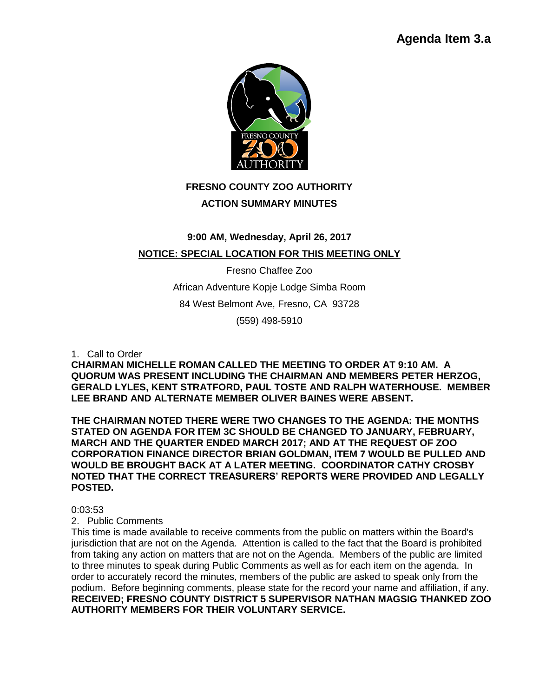

# **FRESNO COUNTY ZOO AUTHORITY**

# **ACTION SUMMARY MINUTES**

**9:00 AM, Wednesday, April 26, 2017**

# **NOTICE: SPECIAL LOCATION FOR THIS MEETING ONLY**

Fresno Chaffee Zoo African Adventure Kopje Lodge Simba Room 84 West Belmont Ave, Fresno, CA 93728 (559) 498-5910

# 1. Call to Order

**CHAIRMAN MICHELLE ROMAN CALLED THE MEETING TO ORDER AT 9:10 AM. A QUORUM WAS PRESENT INCLUDING THE CHAIRMAN AND MEMBERS PETER HERZOG, GERALD LYLES, KENT STRATFORD, PAUL TOSTE AND RALPH WATERHOUSE. MEMBER LEE BRAND AND ALTERNATE MEMBER OLIVER BAINES WERE ABSENT.**

**THE CHAIRMAN NOTED THERE WERE TWO CHANGES TO THE AGENDA: THE MONTHS STATED ON AGENDA FOR ITEM 3C SHOULD BE CHANGED TO JANUARY, FEBRUARY, MARCH AND THE QUARTER ENDED MARCH 2017; AND AT THE REQUEST OF ZOO CORPORATION FINANCE DIRECTOR BRIAN GOLDMAN, ITEM 7 WOULD BE PULLED AND WOULD BE BROUGHT BACK AT A LATER MEETING. COORDINATOR CATHY CROSBY NOTED THAT THE CORRECT TREASURERS' REPORTS WERE PROVIDED AND LEGALLY POSTED.** 

## 0:03:53

2. Public Comments

This time is made available to receive comments from the public on matters within the Board's jurisdiction that are not on the Agenda. Attention is called to the fact that the Board is prohibited from taking any action on matters that are not on the Agenda. Members of the public are limited to three minutes to speak during Public Comments as well as for each item on the agenda. In order to accurately record the minutes, members of the public are asked to speak only from the podium. Before beginning comments, please state for the record your name and affiliation, if any. **RECEIVED; FRESNO COUNTY DISTRICT 5 SUPERVISOR NATHAN MAGSIG THANKED ZOO AUTHORITY MEMBERS FOR THEIR VOLUNTARY SERVICE.**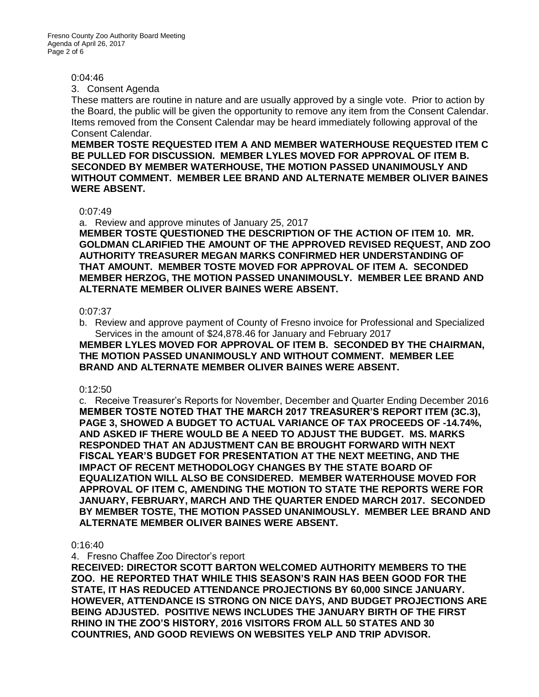#### 0:04:46

#### 3. Consent Agenda

These matters are routine in nature and are usually approved by a single vote. Prior to action by the Board, the public will be given the opportunity to remove any item from the Consent Calendar. Items removed from the Consent Calendar may be heard immediately following approval of the Consent Calendar.

**MEMBER TOSTE REQUESTED ITEM A AND MEMBER WATERHOUSE REQUESTED ITEM C BE PULLED FOR DISCUSSION. MEMBER LYLES MOVED FOR APPROVAL OF ITEM B. SECONDED BY MEMBER WATERHOUSE, THE MOTION PASSED UNANIMOUSLY AND WITHOUT COMMENT. MEMBER LEE BRAND AND ALTERNATE MEMBER OLIVER BAINES WERE ABSENT.**

#### $0.07.49$

a. Review and approve minutes of January 25, 2017

**MEMBER TOSTE QUESTIONED THE DESCRIPTION OF THE ACTION OF ITEM 10. MR. GOLDMAN CLARIFIED THE AMOUNT OF THE APPROVED REVISED REQUEST, AND ZOO AUTHORITY TREASURER MEGAN MARKS CONFIRMED HER UNDERSTANDING OF THAT AMOUNT. MEMBER TOSTE MOVED FOR APPROVAL OF ITEM A. SECONDED MEMBER HERZOG, THE MOTION PASSED UNANIMOUSLY. MEMBER LEE BRAND AND ALTERNATE MEMBER OLIVER BAINES WERE ABSENT.**

#### 0:07:37

b. Review and approve payment of County of Fresno invoice for Professional and Specialized Services in the amount of \$24,878.46 for January and February 2017

### **MEMBER LYLES MOVED FOR APPROVAL OF ITEM B. SECONDED BY THE CHAIRMAN, THE MOTION PASSED UNANIMOUSLY AND WITHOUT COMMENT. MEMBER LEE BRAND AND ALTERNATE MEMBER OLIVER BAINES WERE ABSENT.**

#### $0.12:50$

c. Receive Treasurer's Reports for November, December and Quarter Ending December 2016 **MEMBER TOSTE NOTED THAT THE MARCH 2017 TREASURER'S REPORT ITEM (3C.3), PAGE 3, SHOWED A BUDGET TO ACTUAL VARIANCE OF TAX PROCEEDS OF -14.74%, AND ASKED IF THERE WOULD BE A NEED TO ADJUST THE BUDGET. MS. MARKS RESPONDED THAT AN ADJUSTMENT CAN BE BROUGHT FORWARD WITH NEXT FISCAL YEAR'S BUDGET FOR PRESENTATION AT THE NEXT MEETING, AND THE IMPACT OF RECENT METHODOLOGY CHANGES BY THE STATE BOARD OF EQUALIZATION WILL ALSO BE CONSIDERED. MEMBER WATERHOUSE MOVED FOR APPROVAL OF ITEM C, AMENDING THE MOTION TO STATE THE REPORTS WERE FOR JANUARY, FEBRUARY, MARCH AND THE QUARTER ENDED MARCH 2017. SECONDED BY MEMBER TOSTE, THE MOTION PASSED UNANIMOUSLY. MEMBER LEE BRAND AND ALTERNATE MEMBER OLIVER BAINES WERE ABSENT.** 

0:16:40

#### 4. Fresno Chaffee Zoo Director's report

**RECEIVED: DIRECTOR SCOTT BARTON WELCOMED AUTHORITY MEMBERS TO THE ZOO. HE REPORTED THAT WHILE THIS SEASON'S RAIN HAS BEEN GOOD FOR THE STATE, IT HAS REDUCED ATTENDANCE PROJECTIONS BY 60,000 SINCE JANUARY. HOWEVER, ATTENDANCE IS STRONG ON NICE DAYS, AND BUDGET PROJECTIONS ARE BEING ADJUSTED. POSITIVE NEWS INCLUDES THE JANUARY BIRTH OF THE FIRST RHINO IN THE ZOO'S HISTORY, 2016 VISITORS FROM ALL 50 STATES AND 30 COUNTRIES, AND GOOD REVIEWS ON WEBSITES YELP AND TRIP ADVISOR.**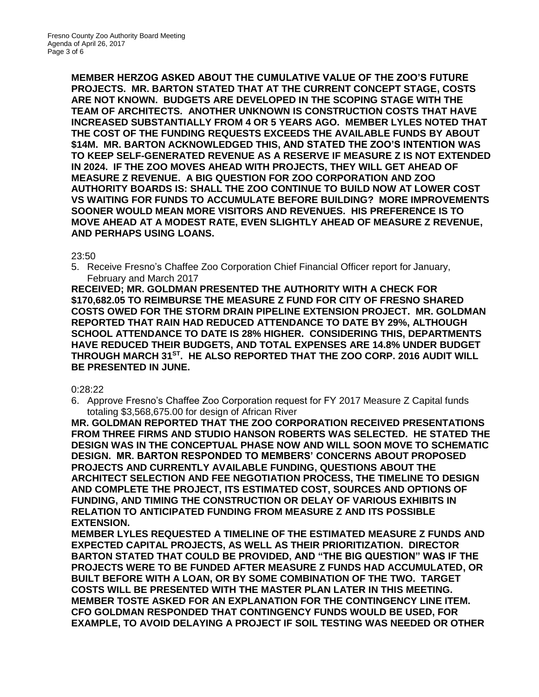**MEMBER HERZOG ASKED ABOUT THE CUMULATIVE VALUE OF THE ZOO'S FUTURE PROJECTS. MR. BARTON STATED THAT AT THE CURRENT CONCEPT STAGE, COSTS ARE NOT KNOWN. BUDGETS ARE DEVELOPED IN THE SCOPING STAGE WITH THE TEAM OF ARCHITECTS. ANOTHER UNKNOWN IS CONSTRUCTION COSTS THAT HAVE INCREASED SUBSTANTIALLY FROM 4 OR 5 YEARS AGO. MEMBER LYLES NOTED THAT THE COST OF THE FUNDING REQUESTS EXCEEDS THE AVAILABLE FUNDS BY ABOUT \$14M. MR. BARTON ACKNOWLEDGED THIS, AND STATED THE ZOO'S INTENTION WAS TO KEEP SELF-GENERATED REVENUE AS A RESERVE IF MEASURE Z IS NOT EXTENDED IN 2024. IF THE ZOO MOVES AHEAD WITH PROJECTS, THEY WILL GET AHEAD OF MEASURE Z REVENUE. A BIG QUESTION FOR ZOO CORPORATION AND ZOO AUTHORITY BOARDS IS: SHALL THE ZOO CONTINUE TO BUILD NOW AT LOWER COST VS WAITING FOR FUNDS TO ACCUMULATE BEFORE BUILDING? MORE IMPROVEMENTS SOONER WOULD MEAN MORE VISITORS AND REVENUES. HIS PREFERENCE IS TO MOVE AHEAD AT A MODEST RATE, EVEN SLIGHTLY AHEAD OF MEASURE Z REVENUE, AND PERHAPS USING LOANS.**

## 23:50

5. Receive Fresno's Chaffee Zoo Corporation Chief Financial Officer report for January, February and March 2017

**RECEIVED; MR. GOLDMAN PRESENTED THE AUTHORITY WITH A CHECK FOR \$170,682.05 TO REIMBURSE THE MEASURE Z FUND FOR CITY OF FRESNO SHARED COSTS OWED FOR THE STORM DRAIN PIPELINE EXTENSION PROJECT. MR. GOLDMAN REPORTED THAT RAIN HAD REDUCED ATTENDANCE TO DATE BY 29%, ALTHOUGH SCHOOL ATTENDANCE TO DATE IS 28% HIGHER. CONSIDERING THIS, DEPARTMENTS HAVE REDUCED THEIR BUDGETS, AND TOTAL EXPENSES ARE 14.8% UNDER BUDGET THROUGH MARCH 31ST . HE ALSO REPORTED THAT THE ZOO CORP. 2016 AUDIT WILL BE PRESENTED IN JUNE.**

#### 0:28:22

6. Approve Fresno's Chaffee Zoo Corporation request for FY 2017 Measure Z Capital funds totaling \$3,568,675.00 for design of African River

**MR. GOLDMAN REPORTED THAT THE ZOO CORPORATION RECEIVED PRESENTATIONS FROM THREE FIRMS AND STUDIO HANSON ROBERTS WAS SELECTED. HE STATED THE DESIGN WAS IN THE CONCEPTUAL PHASE NOW AND WILL SOON MOVE TO SCHEMATIC DESIGN. MR. BARTON RESPONDED TO MEMBERS' CONCERNS ABOUT PROPOSED PROJECTS AND CURRENTLY AVAILABLE FUNDING, QUESTIONS ABOUT THE ARCHITECT SELECTION AND FEE NEGOTIATION PROCESS, THE TIMELINE TO DESIGN AND COMPLETE THE PROJECT, ITS ESTIMATED COST, SOURCES AND OPTIONS OF FUNDING, AND TIMING THE CONSTRUCTION OR DELAY OF VARIOUS EXHIBITS IN RELATION TO ANTICIPATED FUNDING FROM MEASURE Z AND ITS POSSIBLE EXTENSION.** 

**MEMBER LYLES REQUESTED A TIMELINE OF THE ESTIMATED MEASURE Z FUNDS AND EXPECTED CAPITAL PROJECTS, AS WELL AS THEIR PRIORITIZATION. DIRECTOR BARTON STATED THAT COULD BE PROVIDED, AND "THE BIG QUESTION" WAS IF THE PROJECTS WERE TO BE FUNDED AFTER MEASURE Z FUNDS HAD ACCUMULATED, OR BUILT BEFORE WITH A LOAN, OR BY SOME COMBINATION OF THE TWO. TARGET COSTS WILL BE PRESENTED WITH THE MASTER PLAN LATER IN THIS MEETING. MEMBER TOSTE ASKED FOR AN EXPLANATION FOR THE CONTINGENCY LINE ITEM. CFO GOLDMAN RESPONDED THAT CONTINGENCY FUNDS WOULD BE USED, FOR EXAMPLE, TO AVOID DELAYING A PROJECT IF SOIL TESTING WAS NEEDED OR OTHER**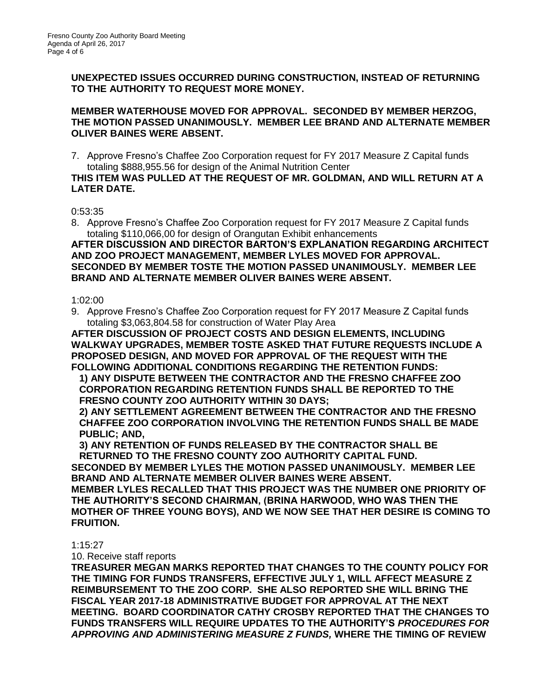**UNEXPECTED ISSUES OCCURRED DURING CONSTRUCTION, INSTEAD OF RETURNING TO THE AUTHORITY TO REQUEST MORE MONEY.**

## **MEMBER WATERHOUSE MOVED FOR APPROVAL. SECONDED BY MEMBER HERZOG, THE MOTION PASSED UNANIMOUSLY. MEMBER LEE BRAND AND ALTERNATE MEMBER OLIVER BAINES WERE ABSENT.**

7. Approve Fresno's Chaffee Zoo Corporation request for FY 2017 Measure Z Capital funds totaling \$888,955.56 for design of the Animal Nutrition Center

#### **THIS ITEM WAS PULLED AT THE REQUEST OF MR. GOLDMAN, AND WILL RETURN AT A LATER DATE.**

0:53:35

8. Approve Fresno's Chaffee Zoo Corporation request for FY 2017 Measure Z Capital funds totaling \$110,066,00 for design of Orangutan Exhibit enhancements

**AFTER DISCUSSION AND DIRECTOR BARTON'S EXPLANATION REGARDING ARCHITECT AND ZOO PROJECT MANAGEMENT, MEMBER LYLES MOVED FOR APPROVAL. SECONDED BY MEMBER TOSTE THE MOTION PASSED UNANIMOUSLY. MEMBER LEE BRAND AND ALTERNATE MEMBER OLIVER BAINES WERE ABSENT.** 

## 1:02:00

9. Approve Fresno's Chaffee Zoo Corporation request for FY 2017 Measure Z Capital funds totaling \$3,063,804.58 for construction of Water Play Area

**AFTER DISCUSSION OF PROJECT COSTS AND DESIGN ELEMENTS, INCLUDING WALKWAY UPGRADES, MEMBER TOSTE ASKED THAT FUTURE REQUESTS INCLUDE A PROPOSED DESIGN, AND MOVED FOR APPROVAL OF THE REQUEST WITH THE FOLLOWING ADDITIONAL CONDITIONS REGARDING THE RETENTION FUNDS:** 

**1) ANY DISPUTE BETWEEN THE CONTRACTOR AND THE FRESNO CHAFFEE ZOO CORPORATION REGARDING RETENTION FUNDS SHALL BE REPORTED TO THE FRESNO COUNTY ZOO AUTHORITY WITHIN 30 DAYS;** 

**2) ANY SETTLEMENT AGREEMENT BETWEEN THE CONTRACTOR AND THE FRESNO CHAFFEE ZOO CORPORATION INVOLVING THE RETENTION FUNDS SHALL BE MADE PUBLIC; AND,** 

**3) ANY RETENTION OF FUNDS RELEASED BY THE CONTRACTOR SHALL BE RETURNED TO THE FRESNO COUNTY ZOO AUTHORITY CAPITAL FUND. SECONDED BY MEMBER LYLES THE MOTION PASSED UNANIMOUSLY. MEMBER LEE** 

**BRAND AND ALTERNATE MEMBER OLIVER BAINES WERE ABSENT. MEMBER LYLES RECALLED THAT THIS PROJECT WAS THE NUMBER ONE PRIORITY OF** 

**THE AUTHORITY'S SECOND CHAIRMAN, (BRINA HARWOOD, WHO WAS THEN THE MOTHER OF THREE YOUNG BOYS), AND WE NOW SEE THAT HER DESIRE IS COMING TO FRUITION.**

#### 1:15:27

10. Receive staff reports

**TREASURER MEGAN MARKS REPORTED THAT CHANGES TO THE COUNTY POLICY FOR THE TIMING FOR FUNDS TRANSFERS, EFFECTIVE JULY 1, WILL AFFECT MEASURE Z REIMBURSEMENT TO THE ZOO CORP. SHE ALSO REPORTED SHE WILL BRING THE FISCAL YEAR 2017-18 ADMINISTRATIVE BUDGET FOR APPROVAL AT THE NEXT MEETING. BOARD COORDINATOR CATHY CROSBY REPORTED THAT THE CHANGES TO FUNDS TRANSFERS WILL REQUIRE UPDATES TO THE AUTHORITY'S** *PROCEDURES FOR APPROVING AND ADMINISTERING MEASURE Z FUNDS,* **WHERE THE TIMING OF REVIEW**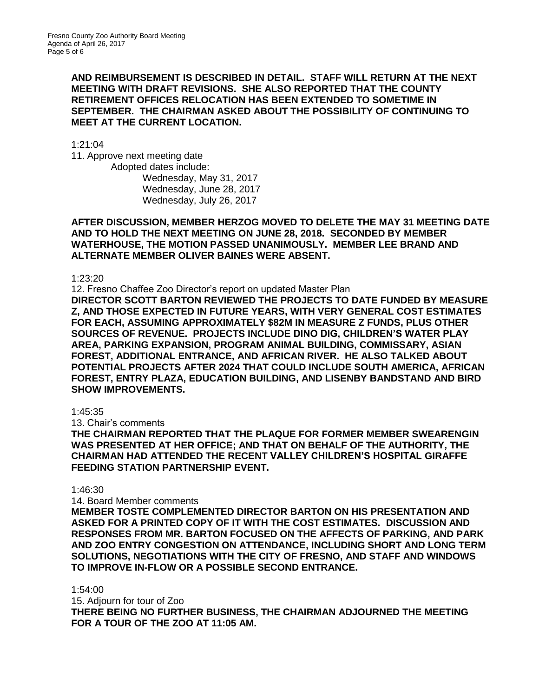**AND REIMBURSEMENT IS DESCRIBED IN DETAIL. STAFF WILL RETURN AT THE NEXT MEETING WITH DRAFT REVISIONS. SHE ALSO REPORTED THAT THE COUNTY RETIREMENT OFFICES RELOCATION HAS BEEN EXTENDED TO SOMETIME IN SEPTEMBER. THE CHAIRMAN ASKED ABOUT THE POSSIBILITY OF CONTINUING TO MEET AT THE CURRENT LOCATION.**

1:21:04

11. Approve next meeting date

Adopted dates include: Wednesday, May 31, 2017 Wednesday, June 28, 2017 Wednesday, July 26, 2017

**AFTER DISCUSSION, MEMBER HERZOG MOVED TO DELETE THE MAY 31 MEETING DATE AND TO HOLD THE NEXT MEETING ON JUNE 28, 2018. SECONDED BY MEMBER WATERHOUSE, THE MOTION PASSED UNANIMOUSLY. MEMBER LEE BRAND AND ALTERNATE MEMBER OLIVER BAINES WERE ABSENT.** 

1:23:20

12. Fresno Chaffee Zoo Director's report on updated Master Plan

**DIRECTOR SCOTT BARTON REVIEWED THE PROJECTS TO DATE FUNDED BY MEASURE Z, AND THOSE EXPECTED IN FUTURE YEARS, WITH VERY GENERAL COST ESTIMATES FOR EACH, ASSUMING APPROXIMATELY \$82M IN MEASURE Z FUNDS, PLUS OTHER SOURCES OF REVENUE. PROJECTS INCLUDE DINO DIG, CHILDREN'S WATER PLAY AREA, PARKING EXPANSION, PROGRAM ANIMAL BUILDING, COMMISSARY, ASIAN FOREST, ADDITIONAL ENTRANCE, AND AFRICAN RIVER. HE ALSO TALKED ABOUT POTENTIAL PROJECTS AFTER 2024 THAT COULD INCLUDE SOUTH AMERICA, AFRICAN FOREST, ENTRY PLAZA, EDUCATION BUILDING, AND LISENBY BANDSTAND AND BIRD SHOW IMPROVEMENTS.** 

1:45:35

13. Chair's comments

**THE CHAIRMAN REPORTED THAT THE PLAQUE FOR FORMER MEMBER SWEARENGIN WAS PRESENTED AT HER OFFICE; AND THAT ON BEHALF OF THE AUTHORITY, THE CHAIRMAN HAD ATTENDED THE RECENT VALLEY CHILDREN'S HOSPITAL GIRAFFE FEEDING STATION PARTNERSHIP EVENT.**

1:46:30

14. Board Member comments

**MEMBER TOSTE COMPLEMENTED DIRECTOR BARTON ON HIS PRESENTATION AND ASKED FOR A PRINTED COPY OF IT WITH THE COST ESTIMATES. DISCUSSION AND RESPONSES FROM MR. BARTON FOCUSED ON THE AFFECTS OF PARKING, AND PARK AND ZOO ENTRY CONGESTION ON ATTENDANCE, INCLUDING SHORT AND LONG TERM SOLUTIONS, NEGOTIATIONS WITH THE CITY OF FRESNO, AND STAFF AND WINDOWS TO IMPROVE IN-FLOW OR A POSSIBLE SECOND ENTRANCE.**

1:54:00

15. Adjourn for tour of Zoo

**THERE BEING NO FURTHER BUSINESS, THE CHAIRMAN ADJOURNED THE MEETING FOR A TOUR OF THE ZOO AT 11:05 AM.**